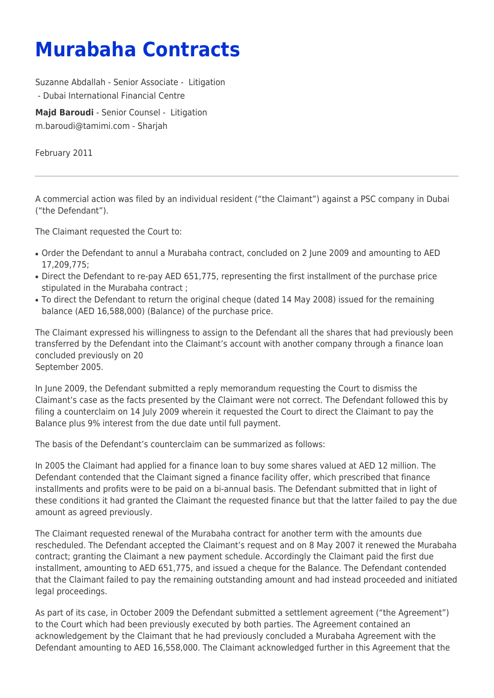## **Murabaha Contracts**

Suzanne Abdallah - Senior Associate - [Litigation](https://www.tamimi.com/client-services/practices/litigation/)

- [Dubai International Financial Centre](https://www.tamimi.com/locations/uae/)

**[Majd Baroudi](https://www.tamimi.com/find-a-lawyer/majd-baroudi/)** - Senior Counsel - [Litigation](https://www.tamimi.com/client-services/practices/litigation/) [m.baroudi@tamimi.com](mailto:m.baroudi@tamimi.com) - [Sharjah](https://www.tamimi.com/locations/uae/)

February 2011

A commercial action was filed by an individual resident ("the Claimant") against a PSC company in Dubai ("the Defendant").

The Claimant requested the Court to:

- Order the Defendant to annul a Murabaha contract, concluded on 2 June 2009 and amounting to AED 17,209,775;
- Direct the Defendant to re-pay AED 651,775, representing the first installment of the purchase price stipulated in the Murabaha contract ;
- To direct the Defendant to return the original cheque (dated 14 May 2008) issued for the remaining balance (AED 16,588,000) (Balance) of the purchase price.

The Claimant expressed his willingness to assign to the Defendant all the shares that had previously been transferred by the Defendant into the Claimant's account with another company through a finance loan concluded previously on 20 September 2005.

In June 2009, the Defendant submitted a reply memorandum requesting the Court to dismiss the Claimant's case as the facts presented by the Claimant were not correct. The Defendant followed this by filing a counterclaim on 14 July 2009 wherein it requested the Court to direct the Claimant to pay the Balance plus 9% interest from the due date until full payment.

The basis of the Defendant's counterclaim can be summarized as follows:

In 2005 the Claimant had applied for a finance loan to buy some shares valued at AED 12 million. The Defendant contended that the Claimant signed a finance facility offer, which prescribed that finance installments and profits were to be paid on a bi-annual basis. The Defendant submitted that in light of these conditions it had granted the Claimant the requested finance but that the latter failed to pay the due amount as agreed previously.

The Claimant requested renewal of the Murabaha contract for another term with the amounts due rescheduled. The Defendant accepted the Claimant's request and on 8 May 2007 it renewed the Murabaha contract; granting the Claimant a new payment schedule. Accordingly the Claimant paid the first due installment, amounting to AED 651,775, and issued a cheque for the Balance. The Defendant contended that the Claimant failed to pay the remaining outstanding amount and had instead proceeded and initiated legal proceedings.

As part of its case, in October 2009 the Defendant submitted a settlement agreement ("the Agreement") to the Court which had been previously executed by both parties. The Agreement contained an acknowledgement by the Claimant that he had previously concluded a Murabaha Agreement with the Defendant amounting to AED 16,558,000. The Claimant acknowledged further in this Agreement that the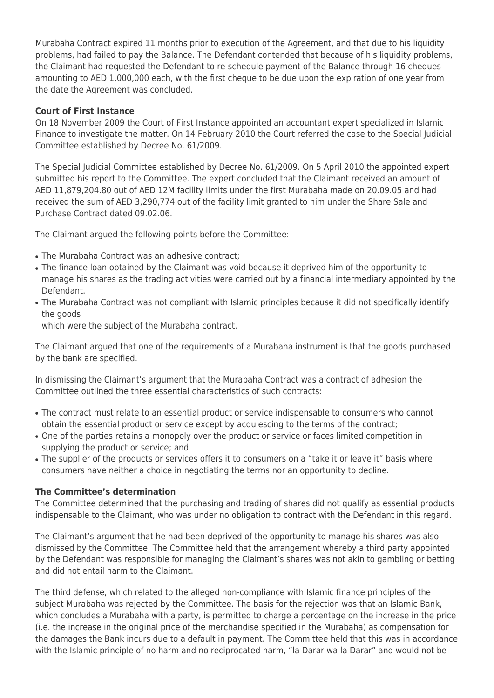Murabaha Contract expired 11 months prior to execution of the Agreement, and that due to his liquidity problems, had failed to pay the Balance. The Defendant contended that because of his liquidity problems, the Claimant had requested the Defendant to re-schedule payment of the Balance through 16 cheques amounting to AED 1,000,000 each, with the first cheque to be due upon the expiration of one year from the date the Agreement was concluded.

## **Court of First Instance**

On 18 November 2009 the Court of First Instance appointed an accountant expert specialized in Islamic Finance to investigate the matter. On 14 February 2010 the Court referred the case to the Special Judicial Committee established by Decree No. 61/2009.

The Special Judicial Committee established by Decree No. 61/2009. On 5 April 2010 the appointed expert submitted his report to the Committee. The expert concluded that the Claimant received an amount of AED 11,879,204.80 out of AED 12M facility limits under the first Murabaha made on 20.09.05 and had received the sum of AED 3,290,774 out of the facility limit granted to him under the Share Sale and Purchase Contract dated 09.02.06.

The Claimant argued the following points before the Committee:

- The Murabaha Contract was an adhesive contract;
- The finance loan obtained by the Claimant was void because it deprived him of the opportunity to manage his shares as the trading activities were carried out by a financial intermediary appointed by the Defendant.
- The Murabaha Contract was not compliant with Islamic principles because it did not specifically identify the goods

which were the subject of the Murabaha contract.

The Claimant argued that one of the requirements of a Murabaha instrument is that the goods purchased by the bank are specified.

In dismissing the Claimant's argument that the Murabaha Contract was a contract of adhesion the Committee outlined the three essential characteristics of such contracts:

- The contract must relate to an essential product or service indispensable to consumers who cannot obtain the essential product or service except by acquiescing to the terms of the contract;
- One of the parties retains a monopoly over the product or service or faces limited competition in supplying the product or service; and
- The supplier of the products or services offers it to consumers on a "take it or leave it" basis where consumers have neither a choice in negotiating the terms nor an opportunity to decline.

## **The Committee's determination**

The Committee determined that the purchasing and trading of shares did not qualify as essential products indispensable to the Claimant, who was under no obligation to contract with the Defendant in this regard.

The Claimant's argument that he had been deprived of the opportunity to manage his shares was also dismissed by the Committee. The Committee held that the arrangement whereby a third party appointed by the Defendant was responsible for managing the Claimant's shares was not akin to gambling or betting and did not entail harm to the Claimant.

The third defense, which related to the alleged non-compliance with Islamic finance principles of the subject Murabaha was rejected by the Committee. The basis for the rejection was that an Islamic Bank, which concludes a Murabaha with a party, is permitted to charge a percentage on the increase in the price (i.e. the increase in the original price of the merchandise specified in the Murabaha) as compensation for the damages the Bank incurs due to a default in payment. The Committee held that this was in accordance with the Islamic principle of no harm and no reciprocated harm, "la Darar wa la Darar" and would not be